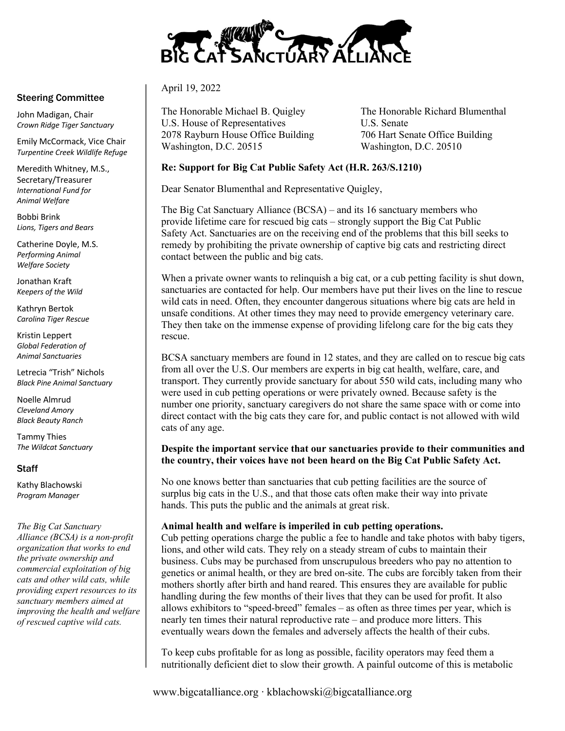

## April 19, 2022

The Honorable Michael B. Quigley The Honorable Richard Blumenthal U.S. House of Representatives U.S. Senate 2078 Rayburn House Office Building 706 Hart Senate Office Building Washington, D.C. 20515 Washington, D.C. 20510

# **Re: Support for Big Cat Public Safety Act (H.R. 263/S.1210)**

Dear Senator Blumenthal and Representative Quigley,

The Big Cat Sanctuary Alliance (BCSA) – and its 16 sanctuary members who provide lifetime care for rescued big cats – strongly support the Big Cat Public Safety Act. Sanctuaries are on the receiving end of the problems that this bill seeks to remedy by prohibiting the private ownership of captive big cats and restricting direct contact between the public and big cats.

When a private owner wants to relinquish a big cat, or a cub petting facility is shut down, sanctuaries are contacted for help. Our members have put their lives on the line to rescue wild cats in need. Often, they encounter dangerous situations where big cats are held in unsafe conditions. At other times they may need to provide emergency veterinary care. They then take on the immense expense of providing lifelong care for the big cats they rescue.

BCSA sanctuary members are found in 12 states, and they are called on to rescue big cats from all over the U.S. Our members are experts in big cat health, welfare, care, and transport. They currently provide sanctuary for about 550 wild cats, including many who were used in cub petting operations or were privately owned. Because safety is the number one priority, sanctuary caregivers do not share the same space with or come into direct contact with the big cats they care for, and public contact is not allowed with wild cats of any age.

# **Despite the important service that our sanctuaries provide to their communities and the country, their voices have not been heard on the Big Cat Public Safety Act.**

No one knows better than sanctuaries that cub petting facilities are the source of surplus big cats in the U.S., and that those cats often make their way into private hands. This puts the public and the animals at great risk.

## **Animal health and welfare is imperiled in cub petting operations.**

Cub petting operations charge the public a fee to handle and take photos with baby tigers, lions, and other wild cats. They rely on a steady stream of cubs to maintain their business. Cubs may be purchased from unscrupulous breeders who pay no attention to genetics or animal health, or they are bred on-site. The cubs are forcibly taken from their mothers shortly after birth and hand reared. This ensures they are available for public handling during the few months of their lives that they can be used for profit. It also allows exhibitors to "speed-breed" females – as often as three times per year, which is nearly ten times their natural reproductive rate – and produce more litters. This eventually wears down the females and adversely affects the health of their cubs.

To keep cubs profitable for as long as possible, facility operators may feed them a nutritionally deficient diet to slow their growth. A painful outcome of this is metabolic

www.bigcatalliance.org ∙ kblachowski@bigcatalliance.org

## Steering Committee

John Madigan, Chair *Crown Ridge Tiger Sanctuary*

Emily McCormack, Vice Chair *Turpentine Creek Wildlife Refuge*

Meredith Whitney, M.S., Secretary/Treasurer *International Fund for Animal Welfare*

Bobbi Brink *Lions, Tigers and Bears*

Catherine Doyle, M.S. *Performing Animal Welfare Society*

Jonathan Kraft *Keepers of the Wild*

Kathryn Bertok *Carolina Tiger Rescue*

Kristin Leppert *Global Federation of Animal Sanctuaries*

Letrecia "Trish" Nichols *Black Pine Animal Sanctuary*

Noelle Almrud *Cleveland Amory Black Beauty Ranch*

Tammy Thies *The Wildcat Sanctuary*

## **Staff**

Kathy Blachowski *Program Manager*

#### *The Big Cat Sanctuary*

*Alliance (BCSA) is a non-profit organization that works to end the private ownership and commercial exploitation of big cats and other wild cats, while providing expert resources to its sanctuary members aimed at improving the health and welfare of rescued captive wild cats.*